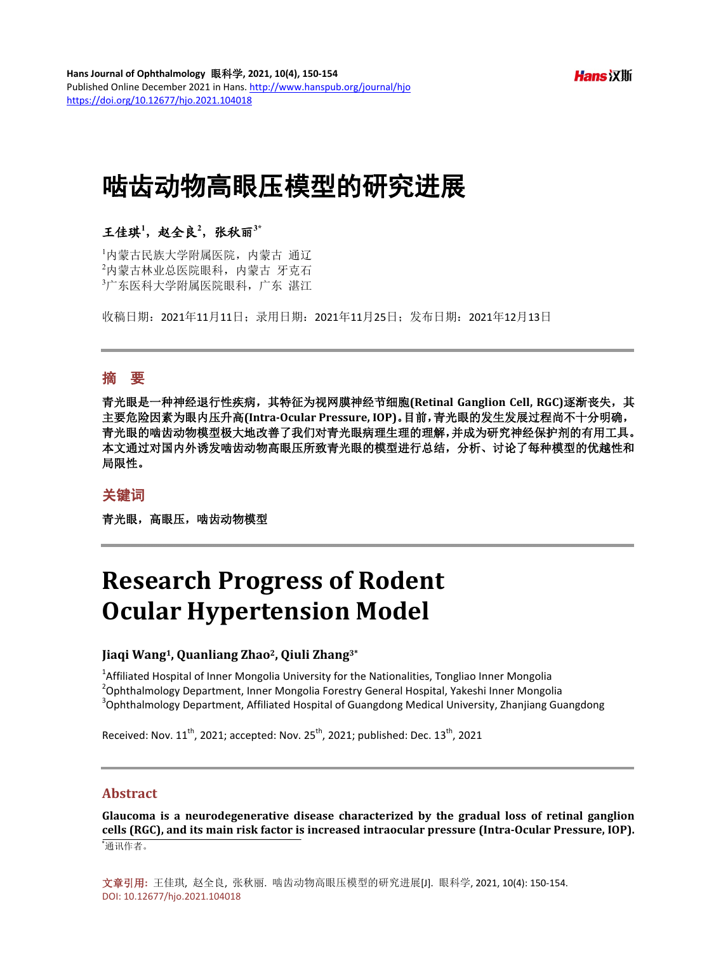**Hans** 汉斯

# 啮齿动物高眼压模型的研究进展

## 王佳琪**<sup>1</sup>** ,赵全良**<sup>2</sup>** ,张秋丽**3\***

1 内蒙古民族大学附属医院,内蒙古 通辽 2 内蒙古林业总医院眼科,内蒙古 牙克石 3 广东医科大学附属医院眼科,广东 湛江

收稿日期:2021年11月11日;录用日期:2021年11月25日;发布日期:2021年12月13日

## 摘 要

青光眼是一种神经退行性疾病,其特征为视网膜神经节细胞**(Retinal Ganglion Cell, RGC)**逐渐丧失,其 主要危险因素为眼内压升高**(Intra-Ocular Pressure, IOP)**。目前,青光眼的发生发展过程尚不十分明确, 青光眼的啮齿动物模型极大地改善了我们对青光眼病理生理的理解,并成为研究神经保护剂的有用工具。 本文通过对国内外诱发啮齿动物高眼压所致青光眼的模型进行总结,分析、讨论了每种模型的优越性和 局限性。

## 关键词

青光眼,高眼压,啮齿动物模型

# **Research Progress of Rodent Ocular Hypertension Model**

### **Jiaqi Wang1, Quanliang Zhao2, Qiuli Zhang3\***

<sup>1</sup> Affiliated Hospital of Inner Mongolia University for the Nationalities, Tongliao Inner Mongolia<br><sup>2</sup> Ophthalmelegy Department, Inner Mongolia Ferestry Ceneral Hespital, Vakashi Inner Mongo  $\alpha^2$ Ophthalmology Department, Inner Mongolia Forestry General Hospital, Yakeshi Inner Mongolia  $3$ Ophthalmology Department, Affiliated Hospital of Guangdong Medical University, Zhanjiang Guangdong

Received: Nov.  $11<sup>th</sup>$ , 2021; accepted: Nov. 25<sup>th</sup>, 2021; published: Dec.  $13<sup>th</sup>$ , 2021

#### **Abstract**

**Glaucoma is a neurodegenerative disease characterized by the gradual loss of retinal ganglion cells (RGC), and its main risk factor is increased intraocular pressure (Intra-Ocular Pressure, IOP).** \* 通讯作者。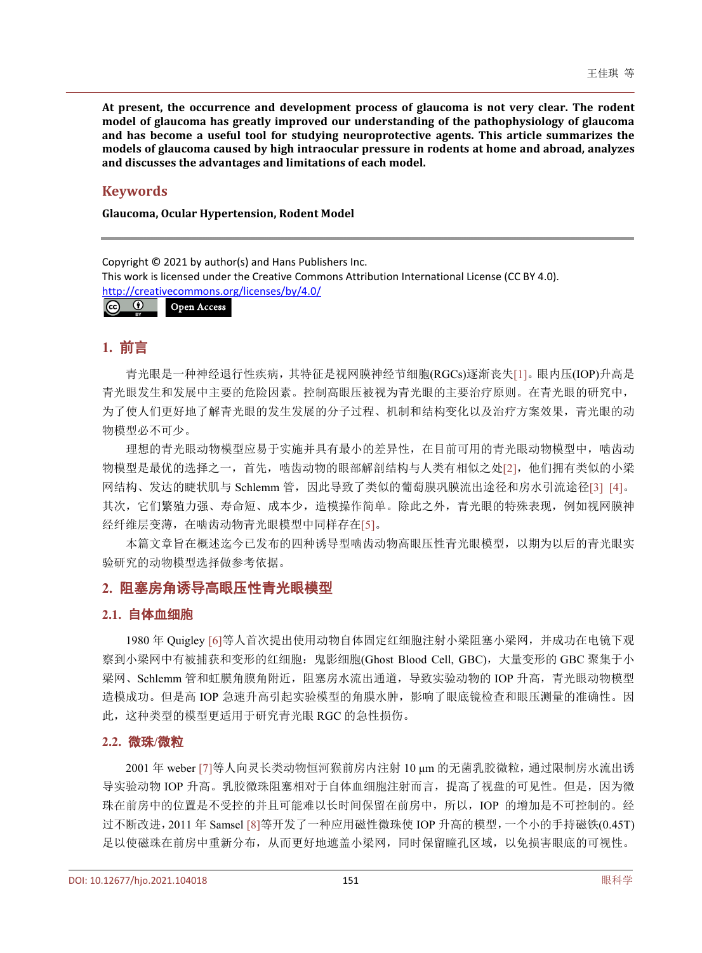**At present, the occurrence and development process of glaucoma is not very clear. The rodent model of glaucoma has greatly improved our understanding of the pathophysiology of glaucoma and has become a useful tool for studying neuroprotective agents. This article summarizes the models of glaucoma caused by high intraocular pressure in rodents at home and abroad, analyzes and discusses the advantages and limitations of each model.**

## **Keywords**

**Glaucoma, Ocular Hypertension, Rodent Model**

Copyright © 2021 by author(s) and Hans Publishers Inc. This work is licensed under the Creative Commons Attribution International License (CC BY 4.0). <http://creativecommons.org/licenses/by/4.0/>



## **1.** 前言

青光眼是一种神经退行性疾病,其特征是视网膜神经节细胞(RGCs)逐渐丧失[\[1\]](#page-3-0)。眼内压(IOP)升高是 青光眼发生和发展中主要的危险因素。控制高眼压被视为青光眼的主要治疗原则。在青光眼的研究中, 为了使人们更好地了解青光眼的发生发展的分子过程、机制和结构变化以及治疗方案效果,青光眼的动 物模型必不可少。

理想的青光眼动物模型应易于实施并具有最小的差异性,在目前可用的青光眼动物模型中,啮齿动 物模型是最优的选择之一,首先,啮齿动物的眼部解剖结构与人类有相似之处[\[2\]](#page-3-1),他们拥有类似的小梁 网结构、发达的睫状肌与 Schlemm 管,因此导致了类似的葡萄膜巩膜流出途径和房水引流途径[\[3\]](#page-3-2) [\[4\]](#page-3-3)。 其次,它们繁殖力强、寿命短、成本少,造模操作简单。除此之外,青光眼的特殊表现,例如视网膜神 经纤维层变薄,在啮齿动物青光眼模型中同样存在[\[5\]](#page-3-4)。

本篇文章旨在概述迄今已发布的四种诱导型啮齿动物高眼压性青光眼模型,以期为以后的青光眼实 验研究的动物模型选择做参考依据。

## **2.** 阻塞房角诱导高眼压性青光眼模型

## **2.1.** 自体血细胞

1980 年 Quigley [\[6\]](#page-3-5)等人首次提出使用动物自体固定红细胞注射小梁阻塞小梁网,并成功在电镜下观 察到小梁网中有被捕获和变形的红细胞: 鬼影细胞(Ghost Blood Cell, GBC), 大量变形的 GBC 聚集于小 梁网、Schlemm 管和虹膜角膜角附近,阻塞房水流出通道,导致实验动物的 IOP 升高,青光眼动物模型 造模成功。但是高 IOP 急速升高引起实验模型的角膜水肿,影响了眼底镜检查和眼压测量的准确性。因 此,这种类型的模型更适用于研究青光眼 RGC 的急性损伤。

## **2.2.** 微珠**/**微粒

2001 年 weber [\[7\]](#page-4-0)等人向灵长类动物恒河猴前房内注射 10 μm 的无菌乳胶微粒,通过限制房水流出诱 导实验动物 IOP 升高。乳胶微珠阻塞相对于自体血细胞注射而言,提高了视盘的可见性。但是,因为微 珠在前房中的位置是不受控的并且可能难以长时间保留在前房中,所以,IOP 的增加是不可控制的。经 过不断改进,2011 年 Samsel [\[8\]](#page-4-1)等开发了一种应用磁性微珠使 IOP 升高的模型,一个小的手持磁铁(0.45T) 足以使磁珠在前房中重新分布,从而更好地遮盖小梁网,同时保留瞳孔区域,以免损害眼底的可视性。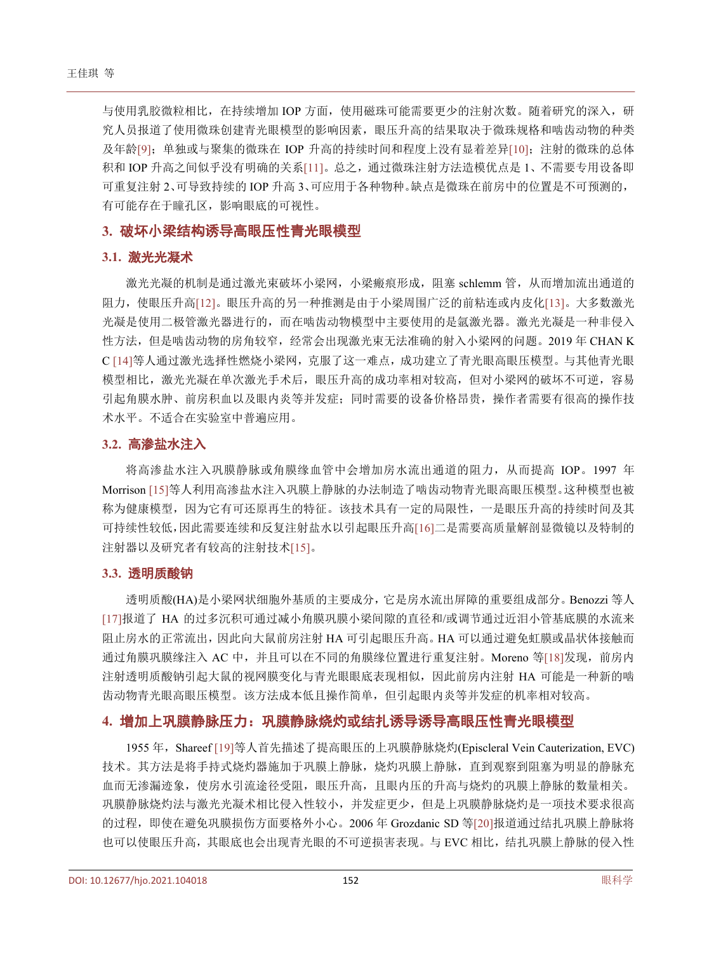与使用乳胶微粒相比,在持续增加 IOP 方面,使用磁珠可能需要更少的注射次数。随着研究的深入,研 究人员报道了使用微珠创建青光眼模型的影响因素,眼压升高的结果取决于微珠规格和啮齿动物的种类 及年龄[\[9\]](#page-4-2);单独或与聚集的微珠在 IOP 升高的持续时间和程度上没有显着差异[\[10\]](#page-4-3); 注射的微珠的总体 积和 IOP 升高之间似乎没有明确的关系[\[11\]](#page-4-4)。总之,通过微珠注射方法造模优点是 1、不需要专用设备即 可重复注射 2、可导致持续的 IOP 升高 3、可应用于各种物种。缺点是微珠在前房中的位置是不可预测的, 有可能存在于瞳孔区,影响眼底的可视性。

## **3.** 破坏小梁结构诱导高眼压性青光眼模型

#### **3.1.** 激光光凝术

激光光凝的机制是通过激光束破坏小梁网,小梁瘢痕形成,阻塞 schlemm 管,从而增加流出通道的 阻力,使眼压升高[\[12\]](#page-4-5)。眼压升高的另一种推测是由于小梁周围广泛的前粘连或内皮化[\[13\]](#page-4-6)。大多数激光 光凝是使用二极管激光器进行的,而在啮齿动物模型中主要使用的是氩激光器。激光光凝是一种非侵入 性方法,但是啮齿动物的房角较窄,经常会出现激光束无法准确的射入小梁网的问题。2019 年 CHAN K C [\[14\]](#page-4-7)等人通过激光选择性燃烧小梁网,克服了这一难点,成功建立了青光眼高眼压模型。与其他青光眼 模型相比,激光光凝在单次激光手术后,眼压升高的成功率相对较高,但对小梁网的破坏不可逆,容易 引起角膜水肿、前房积血以及眼内炎等并发症;同时需要的设备价格昂贵,操作者需要有很高的操作技 术水平。不适合在实验室中普遍应用。

#### **3.2.** 高渗盐水注入

将高渗盐水注入巩膜静脉或角膜缘血管中会增加房水流出通道的阻力,从而提高 IOP。1997 年 Morrison [\[15\]](#page-4-8)等人利用高渗盐水注入巩膜上静脉的办法制造了啮齿动物青光眼高眼压模型。这种模型也被 称为健康模型,因为它有可还原再生的特征。该技术具有一定的局限性,一是眼压升高的持续时间及其 可持续性较低,因此需要连续和反复注射盐水以引起眼压升高[\[16\]](#page-4-9)二是需要高质量解剖显微镜以及特制的 注射器以及研究者有较高的注射技术[\[15\]](#page-4-8)。

#### **3.3.** 透明质酸钠

透明质酸(HA)是小梁网状细胞外基质的主要成分,它是房水流出屏障的重要组成部分。Benozzi 等人 [\[17\]](#page-4-10)报道了 HA 的过多沉积可通过减小角膜巩膜小梁间隙的直径和/或调节通过近泪小管基底膜的水流来 阻止房水的正常流出,因此向大鼠前房注射 HA 可引起眼压升高。HA 可以通过避免虹膜或晶状体接触而 通过角膜巩膜缘注入 AC 中,并且可以在不同的角膜缘位置进行重复注射。Moreno 等[\[18\]](#page-4-11)发现,前房内 注射透明质酸钠引起大鼠的视网膜变化与青光眼眼底表现相似,因此前房内注射 HA 可能是一种新的啮 齿动物青光眼高眼压模型。该方法成本低且操作简单,但引起眼内炎等并发症的机率相对较高。

## **4.** 增加上巩膜静脉压力:巩膜静脉烧灼或结扎诱导诱导高眼压性青光眼模型

1955 年, Shareef [\[19\]](#page-4-12)等人首先描述了提高眼压的上巩膜静脉烧灼(Episcleral Vein Cauterization, EVC) 技术。其方法是将手持式烧灼器施加于巩膜上静脉,烧灼巩膜上静脉,直到观察到阻塞为明显的静脉充 血而无渗漏迹象,使房水引流途径受阻,眼压升高,且眼内压的升高与烧灼的巩膜上静脉的数量相关。 巩膜静脉烧灼法与激光光凝术相比侵入性较小,并发症更少,但是上巩膜静脉烧灼是一项技术要求很高 的过程,即使在避免巩膜损伤方面要格外小心。2006 年 Grozdanic SD 等[\[20\]](#page-4-13)报道通过结扎巩膜上静脉将 也可以使眼压升高,其眼底也会出现青光眼的不可逆损害表现。与 EVC 相比,结扎巩膜上静脉的侵入性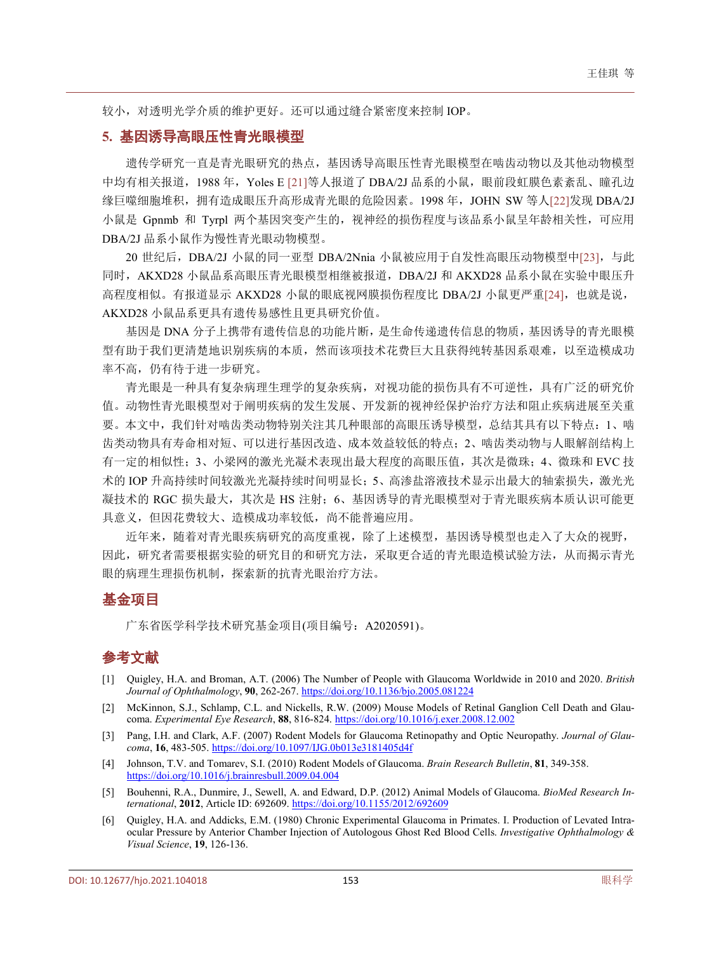较小,对透明光学介质的维护更好。还可以通过缝合紧密度来控制 IOP。

### **5.** 基因诱导高眼压性青光眼模型

遗传学研究一直是青光眼研究的热点,基因诱导高眼压性青光眼模型在啮齿动物以及其他动物模型 中均有相关报道,1988 年, Yoles E [\[21\]](#page-4-14)等人报道了 DBA/2J 品系的小鼠, 眼前段虹膜色素紊乱、瞳孔边 缘巨噬细胞堆积,拥有造成眼压升高形成青光眼的危险因素。1998 年,JOHN SW 等人[\[22\]](#page-4-15)发现 DBA/2J 小鼠是 Gpnmb 和 Tyrpl 两个基因突变产生的, 视神经的损伤程度与该品系小鼠呈年龄相关性, 可应用 DBA/2J 品系小鼠作为慢性青光眼动物模型。

20 世纪后, DBA/2J 小鼠的同一亚型 DBA/2Nnia 小鼠被应用于自发性高眼压动物模型中[\[23\]](#page-4-16), 与此 同时,AKXD28 小鼠品系高眼压青光眼模型相继被报道,DBA/2J 和 AKXD28 品系小鼠在实验中眼压升 高程度相似。有报道显示 AKXD28 小鼠的眼底视网膜损伤程度比 DBA/2J 小鼠更严重[\[24\]](#page-4-17),也就是说, AKXD28 小鼠品系更具有遗传易感性且更具研究价值。

基因是 DNA 分子上携带有遗传信息的功能片断,是生命传递遗传信息的物质,基因诱导的青光眼模 型有助于我们更清楚地识别疾病的本质,然而该项技术花费巨大且获得纯转基因系艰难,以至造模成功 率不高,仍有待于进一步研究。

青光眼是一种具有复杂病理生理学的复杂疾病,对视功能的损伤具有不可逆性,具有广泛的研究价 值。动物性青光眼模型对于阐明疾病的发生发展、开发新的视神经保护治疗方法和阻止疾病进展至关重 要。本文中,我们针对啮齿类动物特别关注其几种眼部的高眼压诱导模型,总结其具有以下特点:1、啮 齿类动物具有寿命相对短、可以进行基因改造、成本效益较低的特点;2、啮齿类动物与人眼解剖结构上 有一定的相似性;3、小梁网的激光光凝术表现出最大程度的高眼压值,其次是微珠;4、微珠和 EVC 技 术的 IOP 升高持续时间较激光光凝持续时间明显长;5、高渗盐溶液技术显示出最大的轴索损失, 激光光 凝技术的 RGC 损失最大, 其次是 HS 注射; 6、基因诱导的青光眼模型对于青光眼疾病本质认识可能更 具意义,但因花费较大、造模成功率较低,尚不能普遍应用。

近年来, 随着对青光眼疾病研究的高度重视,除了上述模型,基因诱导模型也走入了大众的视野, 因此,研究者需要根据实验的研究目的和研究方法,采取更合适的青光眼造模试验方法,从而揭示青光 眼的病理生理损伤机制,探索新的抗青光眼治疗方法。

# 基金项目

广东省医学科学技术研究基金项目(项目编号:A2020591)。

# 参考文献

- <span id="page-3-0"></span>[1] Quigley, H.A. and Broman, A.T. (2006) The Number of People with Glaucoma Worldwide in 2010 and 2020. *British Journal of Ophthalmology*, **90**, 262-267. <https://doi.org/10.1136/bjo.2005.081224>
- <span id="page-3-1"></span>[2] McKinnon, S.J., Schlamp, C.L. and Nickells, R.W. (2009) Mouse Models of Retinal Ganglion Cell Death and Glaucoma. *Experimental Eye Research*, **88**, 816-824. <https://doi.org/10.1016/j.exer.2008.12.002>
- <span id="page-3-2"></span>[3] Pang, I.H. and Clark, A.F. (2007) Rodent Models for Glaucoma Retinopathy and Optic Neuropathy. *Journal of Glaucoma*, **16**, 483-505. <https://doi.org/10.1097/IJG.0b013e3181405d4f>
- <span id="page-3-3"></span>[4] Johnson, T.V. and Tomarev, S.I. (2010) Rodent Models of Glaucoma. *Brain Research Bulletin*, **81**, 349-358. <https://doi.org/10.1016/j.brainresbull.2009.04.004>
- <span id="page-3-4"></span>[5] Bouhenni, R.A., Dunmire, J., Sewell, A. and Edward, D.P. (2012) Animal Models of Glaucoma. *BioMed Research International*, **2012**, Article ID: 692609. <https://doi.org/10.1155/2012/692609>
- <span id="page-3-5"></span>[6] Quigley, H.A. and Addicks, E.M. (1980) Chronic Experimental Glaucoma in Primates. I. Production of Levated Intraocular Pressure by Anterior Chamber Injection of Autologous Ghost Red Blood Cells. *Investigative Ophthalmology & Visual Science*, **19**, 126-136.